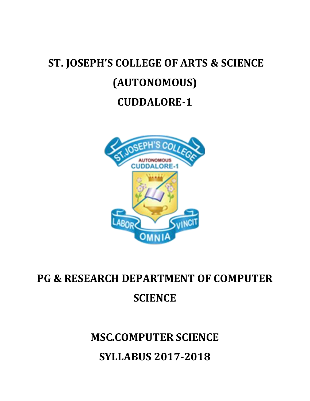# **ST. JOSEPH'S COLLEGE OF ARTS & SCIENCE (AUTONOMOUS) CUDDALORE-1**



# **PG & RESEARCH DEPARTMENT OF COMPUTER SCIENCE**

# **MSC.COMPUTER SCIENCE SYLLABUS 2017-2018**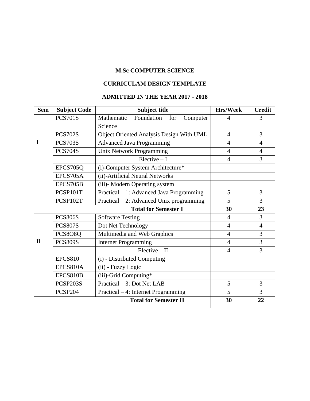### **M.Sc COMPUTER SCIENCE**

### **CURRICULAM DESIGN TEMPLATE**

### **ADMITTED IN THE YEAR 2017 - 2018**

| <b>Sem</b>                  | <b>Subject Code</b> | <b>Subject title</b>                        | <b>Hrs/Week</b> | <b>Credit</b>  |
|-----------------------------|---------------------|---------------------------------------------|-----------------|----------------|
|                             | <b>PCS701S</b>      | Foundation<br>Mathematic<br>Computer<br>for | $\overline{4}$  | 3              |
|                             |                     | Science                                     |                 |                |
|                             | <b>PCS702S</b>      | Object Oriented Analysis Design With UML    | $\overline{4}$  | 3              |
| I                           | <b>PCS703S</b>      | <b>Advanced Java Programming</b>            | $\overline{4}$  | $\overline{4}$ |
|                             | <b>PCS704S</b>      | Unix Network Programming                    | $\overline{4}$  | $\overline{4}$ |
|                             |                     | $Electric - I$                              | $\overline{4}$  | 3              |
|                             | EPCS705Q            | (i)-Computer System Architecture*           |                 |                |
|                             | EPCS705A            | (ii)-Artificial Neural Networks             |                 |                |
|                             | EPCS705B            | (iii)- Modern Operating system              |                 |                |
|                             | PCSP101T            | Practical – 1: Advanced Java Programming    | 5               | 3              |
|                             | PCSP102T            | Practical $-2$ : Advanced Unix programming  | 5               | 3              |
| <b>Total for Semester I</b> |                     | 30                                          | 23              |                |
|                             | <b>PCS806S</b>      | <b>Software Testing</b>                     | $\overline{4}$  | 3              |
|                             | <b>PCS807S</b>      | Dot Net Technology                          | $\overline{4}$  | $\overline{4}$ |
|                             | PCS8O8Q             | Multimedia and Web Graphics                 | $\overline{4}$  | 3              |
| $\mathbf{I}$                | <b>PCS809S</b>      | <b>Internet Programming</b>                 | $\overline{4}$  | 3              |
|                             |                     | $Elective - II$                             | $\overline{4}$  | $\overline{3}$ |
|                             | <b>EPCS810</b>      | (i) - Distributed Computing                 |                 |                |
|                             | <b>EPCS810A</b>     | (ii) - Fuzzy Logic                          |                 |                |
|                             | EPCS810B            | (iii)-Grid Computing*                       |                 |                |
|                             | PCSP203S            | Practical - 3: Dot Net LAB                  | 5               | 3              |
|                             | <b>PCSP204</b>      | Practical – 4: Internet Programming         | 5               | 3              |
|                             |                     | <b>Total for Semester II</b>                | 30              | 22             |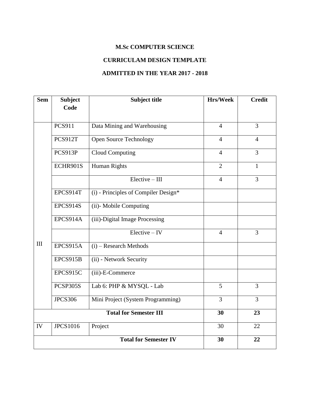### **M.Sc COMPUTER SCIENCE**

### **CURRICULAM DESIGN TEMPLATE**

### **ADMITTED IN THE YEAR 2017 - 2018**

| <b>Sem</b> | <b>Subject</b>  | <b>Subject title</b>                 | <b>Hrs/Week</b> | <b>Credit</b>  |
|------------|-----------------|--------------------------------------|-----------------|----------------|
|            | Code            |                                      |                 |                |
|            | <b>PCS911</b>   |                                      | $\overline{4}$  | $\overline{3}$ |
|            |                 | Data Mining and Warehousing          |                 |                |
|            | PCS912T         | <b>Open Source Technology</b>        | $\overline{4}$  | $\overline{4}$ |
|            | PCS913P         | <b>Cloud Computing</b>               | $\overline{4}$  | $\overline{3}$ |
|            | ECHR901S        | <b>Human Rights</b>                  | $\overline{2}$  | $\mathbf{1}$   |
|            |                 | $Elective - III$                     | $\overline{4}$  | $\overline{3}$ |
|            | EPCS914T        | (i) - Principles of Compiler Design* |                 |                |
|            | EPCS914S        | (ii)- Mobile Computing               |                 |                |
|            | EPCS914A        | (iii)-Digital Image Processing       |                 |                |
|            |                 | $Elective - IV$                      | $\overline{4}$  | $\overline{3}$ |
| III        | EPCS915A        | $(i)$ – Research Methods             |                 |                |
|            | EPCS915B        | (ii) - Network Security              |                 |                |
|            | EPCS915C        | (iii)-E-Commerce                     |                 |                |
|            | PCSP305S        | Lab 6: PHP & MYSQL - Lab             | 5               | 3              |
|            | <b>JPCS306</b>  | Mini Project (System Programming)    | $\overline{3}$  | $\overline{3}$ |
|            |                 | <b>Total for Semester III</b>        | 30              | 23             |
| IV         | <b>JPCS1016</b> | Project                              | 30              | 22             |
|            |                 | <b>Total for Semester IV</b>         | 30              | 22             |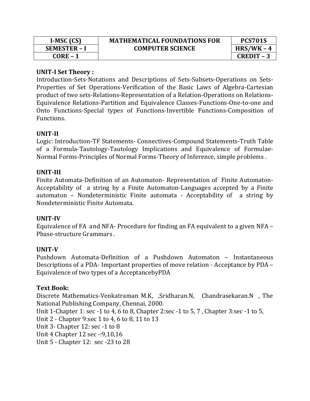| $I-MSC (CS)$        | <b>MATHEMATICAL FOUNDATIONS FOR</b> |
|---------------------|-------------------------------------|
| <b>SEMESTER - I</b> | <b>COMPUTER SCIENCE</b>             |
| $CORE - 1$          |                                     |

### **UNIT-I Set Theory :**

Introduction-Sets-Notations and Descriptions of Sets-Subsets-Operations on Sets-Properties of Set Operations-Verification of the Basic Laws of Algebra-Cartesian product of two sets-Relations-Representation of a Relation-Operations on Relations-Equivalence Relations-Partition and Equivalence Classes-Functions-One-to-one and Onto Functions-Special types of Functions-Invertible Functions-Composition of Functions.

### **UNIT-II**

Logic: Introduction-TF Statements- Connectives-Compound Statements-Truth Table of a Formula-Tautology-Tautology Implications and Equivalence of Formulae-Normal Forms-Principles of Normal Forms-Theory of Inference, simple problems .

### **UNIT-III**

Finite Automata-Definition of an Automaton- Representation of Finite Automaton-Acceptability of a string by a Finite Automaton-Languages accepted by a Finite automaton – Nondeterministic Finite automata - Acceptability of a string by Nondeterministic Finite Automata.

### **UNIT-IV**

Equivalence of FA and NFA- Procedure for finding an FA equivalent to a given NFA – Phase-structure Grammars .

### **UNIT-V**

Pushdown Automata-Definition of a Pushdown Automaton – Instantaneous Descriptions of a PDA- Important properties of move relation - Acceptance by PDA – Equivalence of two types of a AcceptancebyPDA

### **Text Book:**

Discrete Mathematics-Venkatraman M.K, ,Sridharan.N, Chandrasekaran.N , The National Publishing Company, Chennai, 2000. Unit 1-Chapter 1: sec -1 to 4, 6 to 8, Chapter 2:sec -1 to 5, 7 , Chapter 3:sec -1 to 5, Unit 2 - Chapter 9:sec 1 to 4, 6 to 8, 11 to 13 Unit 3- Chapter 12: sec -1 to 8 Unit 4 Chapter 12 sec -:9,10,16 Unit 5 - Chapter 12: sec -23 to 28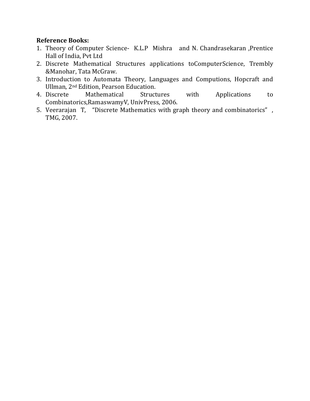### **Reference Books:**

- 1. Theory of Computer Science- K.L.P Mishra and N. Chandrasekaran ,Prentice Hall of India, Pvt Ltd
- 2. Discrete Mathematical Structures applications toComputerScience, Trembly &Manohar, Tata McGraw.
- 3. Introduction to Automata Theory, Languages and Computions, Hopcraft and Ullman, 2nd Edition, Pearson Education.
- 4. Discrete Mathematical Structures with Applications to Combinatorics,RamaswamyV, UnivPress, 2006.
- 5. Veerarajan T, "Discrete Mathematics with graph theory and combinatorics" , TMG, 2007.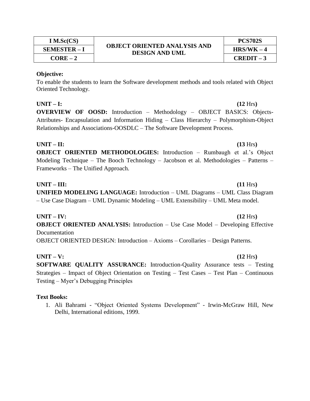**I M.Sc(CS)**

To enable the students to learn the Software development methods and tools related with Object Oriented Technology.

### **UNIT – I: (12** Hrs**)**

**OVERVIEW OF OOSD:** Introduction – Methodology – OBJECT BASICS: Objects-Attributes- Encapsulation and Information Hiding – Class Hierarchy – Polymorphism-Object Relationships and Associations-OOSDLC – The Software Development Process.

#### $UNIT - II:$  (13 Hrs)

**OBJECT ORIENTED METHODOLOGIES:** Introduction – Rumbaugh et al.'s Object Modeling Technique – The Booch Technology – Jacobson et al. Methodologies – Patterns – Frameworks – The Unified Approach.

### **UNIT – III: (11** Hrs**)**

**UNIFIED MODELING LANGUAGE:** Introduction – UML Diagrams – UML Class Diagram – Use Case Diagram – UML Dynamic Modeling – UML Extensibility – UML Meta model.

**UNIT – IV: (12** Hrs**) OBJECT ORIENTED ANALYSIS:** Introduction – Use Case Model – Developing Effective **Documentation** OBJECT ORIENTED DESIGN: Introduction – Axioms – Corollaries – Design Patterns.

**UNIT** – **V:**  $(12 \text{ Hrs})$ 

**SOFTWARE QUALITY ASSURANCE:** Introduction-Quality Assurance tests – Testing Strategies – Impact of Object Orientation on Testing – Test Cases – Test Plan – Continuous Testing – Myer's Debugging Principles

### **Text Books:**

1. Ali Bahrami - "Object Oriented Systems Development" - Irwin-McGraw Hill, New Delhi, International editions, 1999.

#### **OBJECT ORIENTED ANALYSIS AND DESIGN AND UML SEMESTER – I HRS/WK – 4**

# **CORE – 2 CREDIT – 3**

**PCS702S**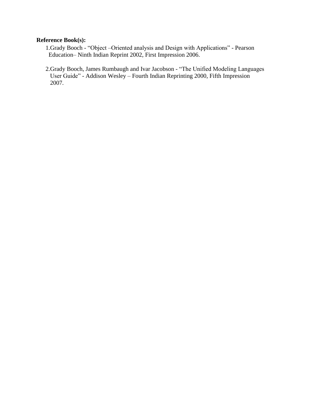### **Reference Book(s):**

- 1.Grady Booch "Object –Oriented analysis and Design with Applications" Pearson Education– Ninth Indian Reprint 2002, First Impression 2006.
- 2.Grady Booch, James Rumbaugh and Ivar Jacobson "The Unified Modeling Languages User Guide" - Addison Wesley – Fourth Indian Reprinting 2000, Fifth Impression 2007.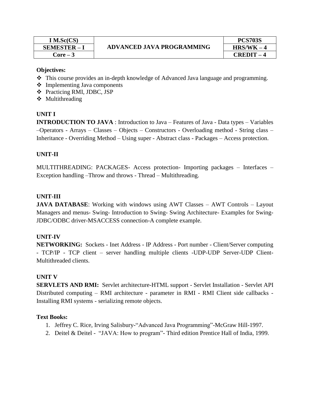| $I$ M.Sc(CS)      |                                  | <b>PCS703S</b> |
|-------------------|----------------------------------|----------------|
| <b>SEMESTER-I</b> | <b>ADVANCED JAVA PROGRAMMING</b> | $HRS/WK - 4$   |
| Core – 3          |                                  | CREDIT         |

# **ADVANCED JAVA PROGRAMMING SEMESTER – I HRS/WK – 4**

| <b>PCS703S</b> |  |
|----------------|--|
| $HRS/WK-4$     |  |
| CREDIT – 4     |  |

#### **Objectives:**

- This course provides an in-depth knowledge of Advanced Java language and programming.
- $\triangleleft$  Implementing Java components
- Practicing RMI, JDBC, JSP
- ❖ Multithreading

### **UNIT I**

**INTRODUCTION TO JAVA** : Introduction to Java – Features of Java - Data types – Variables –Operators - Arrays – Classes – Objects – Constructors - Overloading method - String class – Inheritance - Overriding Method – Using super - Abstract class - Packages – Access protection.

### **UNIT-II**

MULTITHREADING: PACKAGES- Access protection- Importing packages – Interfaces – Exception handling –Throw and throws - Thread – Multithreading.

#### **UNIT-III**

**JAVA DATABASE:** Working with windows using AWT Classes – AWT Controls – Layout Managers and menus- Swing- Introduction to Swing- Swing Architecture- Examples for Swing-JDBC/ODBC driver-MSACCESS connection-A complete example.

### **UNIT-IV**

**NETWORKING:** Sockets - Inet Address - IP Address - Port number - Client/Server computing - TCP/IP - TCP client – server handling multiple clients -UDP-UDP Server-UDP Client-Multithreaded clients.

#### **UNIT V**

**SERVLETS AND RMI:** Servlet architecture-HTML support - Servlet Installation - Servlet API Distributed computing – RMI architecture - parameter in RMI - RMI Client side callbacks - Installing RMI systems - serializing remote objects.

#### **Text Books:**

- 1. Jeffrey C. Rice, Irving Salisbury-"Advanced Java Programming"-McGraw Hill-1997.
- 2. Deitel & Deitel "JAVA: How to program"- Third edition Prentice Hall of India, 1999.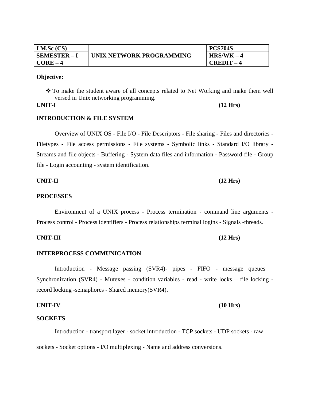| I M.Sc $(CS)$  | UNIX NETWORK PROGRAMMING | <b>PCS704S</b> |
|----------------|--------------------------|----------------|
| $SEMESTER - 1$ |                          | $HRS/WK-4$     |
| <b>CORE</b>    |                          | $CREDIT -$     |

 To make the student aware of all concepts related to Net Working and make them well versed in Unix networking programming.

### **INTRODUCTION & FILE SYSTEM**

Overview of UNIX OS - File I/O - File Descriptors - File sharing - Files and directories - Filetypes - File access permissions - File systems - Symbolic links - Standard I/O library - Streams and file objects - Buffering - System data files and information - Password file - Group file - Login accounting - system identification.

### **UNIT-II (12 Hrs)**

#### **PROCESSES**

Environment of a UNIX process - Process termination - command line arguments - Process control - Process identifiers - Process relationships terminal logins - Signals -threads.

**UNIT-III (12 Hrs)**

#### **INTERPROCESS COMMUNICATION**

Introduction - Message passing (SVR4)- pipes - FIFO - message queues – Synchronization (SVR4) - Mutexes - condition variables - read - write locks – file locking record locking -semaphores - Shared memory(SVR4).

#### **UNIT-IV (10 Hrs)**

#### **SOCKETS**

Introduction - transport layer - socket introduction - TCP sockets - UDP sockets - raw

sockets - Socket options - I/O multiplexing - Name and address conversions.

# **UNIT-I (12 Hrs)**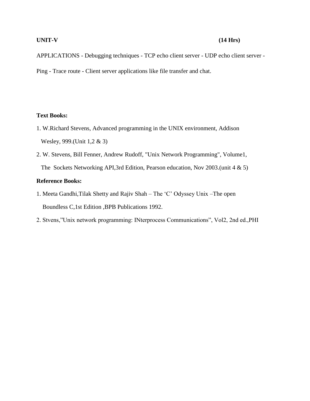#### **UNIT-V (14 Hrs)**

APPLICATIONS - Debugging techniques - TCP echo client server - UDP echo client server - Ping - Trace route - Client server applications like file transfer and chat.

#### **Text Books:**

- 1. W.Richard Stevens, Advanced programming in the UNIX environment, Addison Wesley, 999.(Unit 1,2 & 3)
- 2. W. Stevens, Bill Fenner, Andrew Rudoff, "Unix Network Programming", Volume1, The Sockets Networking API,3rd Edition, Pearson education, Nov 2003.(unit 4 & 5)

#### **Reference Books:**

- 1. Meeta Gandhi,Tilak Shetty and Rajiv Shah The 'C' Odyssey Unix –The open Boundless C,1st Edition ,BPB Publications 1992.
- 2. Stvens,"Unix network programming: INterprocess Communications", Vol2, 2nd ed.,PHI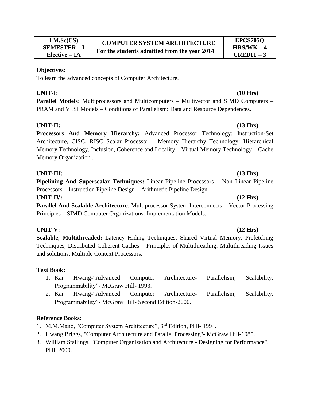| $I$ M.Sc(CS)      |
|-------------------|
| <b>SEMESTER-I</b> |
| Elective – 1A     |

To learn the advanced concepts of Computer Architecture.

#### **UNIT-I: (10 Hrs)**

**Parallel Models:** Multiprocessors and Multicomputers – Multivector and SIMD Computers – PRAM and VLSI Models – Conditions of Parallelism: Data and Resource Dependences.

### **UNIT-II: (13 Hrs)**

**Processors And Memory Hierarchy:** Advanced Processor Technology: Instruction-Set Architecture, CISC, RISC Scalar Processor – Memory Hierarchy Technology: Hierarchical Memory Technology, Inclusion, Coherence and Locality – Virtual Memory Technology – Cache Memory Organization .

#### **UNIT-III: (13 Hrs)**

**Pipelining And Superscalar Techniques:** Linear Pipeline Processors – Non Linear Pipeline Processors – Instruction Pipeline Design – Arithmetic Pipeline Design.

#### **UNIT-IV: (12 Hrs)**

**Parallel And Scalable Architecture**: Multiprocessor System Interconnects – Vector Processing Principles – SIMD Computer Organizations: Implementation Models.

#### **UNIT-V: (12 Hrs)**

**Scalable, Multithreaded:** Latency Hiding Techniques: Shared Virtual Memory, Prefetching Techniques, Distributed Coherent Caches – Principles of Multithreading: Multithreading Issues and solutions, Multiple Context Processors.

### **Text Book:**

- 1. Kai Hwang-"Advanced Computer Architecture- Parallelism, Scalability, Programmability"- McGraw Hill- 1993.
- 2. Kai Hwang-"Advanced Computer Architecture- Parallelism, Scalability, Programmability"- McGraw Hill- Second Edition-2000.

#### **Reference Books:**

- 1. M.M.Mano, "Computer System Architecture", 3<sup>rd</sup> Edition, PHI- 1994.
- 2. Hwang Briggs, "Computer Architecture and Parallel Processing"- McGraw Hill-1985.
- 3. William Stallings, "Computer Organization and Architecture Designing for Performance", PHI, 2000.

# **EPCS705Q**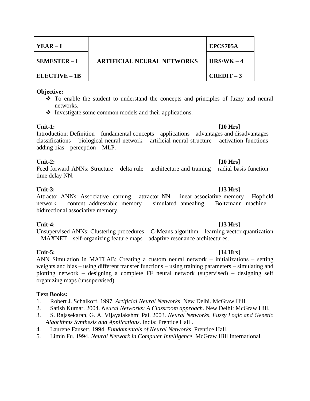| $YEAR - I$           | <b>ARTIFICIAL NEURAL NETWORKS</b> | EPCS705A     |
|----------------------|-----------------------------------|--------------|
| <b>SEMESTER-I</b>    |                                   | $HRS/WK - 4$ |
| <b>ELECTIVE – 1B</b> |                                   | $CREDIT-3$   |

- To enable the student to understand the concepts and principles of fuzzy and neural networks.
- $\bullet$  Investigate some common models and their applications.

#### **Unit-1: [10 Hrs]**

Introduction: Definition – fundamental concepts – applications – advantages and disadvantages – classifications – biological neural network – artificial neural structure – activation functions – adding bias – perception – MLP.

#### **Unit-2: [10 Hrs]**

Feed forward ANNs: Structure – delta rule – architecture and training – radial basis function – time delay NN.

#### **Unit-3: [13 Hrs]**

Attractor ANNs: Associative learning – attractor NN – linear associative memory – Hopfield network – content addressable memory – simulated annealing – Boltzmann machine – bidirectional associative memory.

#### **Unit-4: [13 Hrs]**

Unsupervised ANNs: Clustering procedures – C-Means algorithm – learning vector quantization – MAXNET – self-organizing feature maps – adaptive resonance architectures.

### **Unit-5: [14 Hrs]**

#### ANN Simulation in MATLAB: Creating a custom neural network – initializations – setting weights and bias – using different transfer functions – using training parameters – simulating and plotting network – designing a complete FF neural network (supervised) – designing self organizing maps (unsupervised).

### **Text Books:**

- 1. Robert J. Schalkoff. 1997. *Artificial Neural Networks*. New Delhi. McGraw Hill.
- 2. Satish Kumar. 2004. *Neural Networks: A Classroom approach*. New Delhi: McGraw Hill.
- 3. S. Rajasekaran, G. A. Vijayalakshmi Pai. 2003. *Neural Networks, Fuzzy Logic and Genetic Algorithms Synthesis and Applications*. India: Prentice Hall .
- 4. Laurene Fausett. 1994. *Fundamentals of Neural Networks*. Prentice Hall.
- 5. Limin Fu. 1994. *Neural Network in Computer Intelligence*. McGraw Hill International.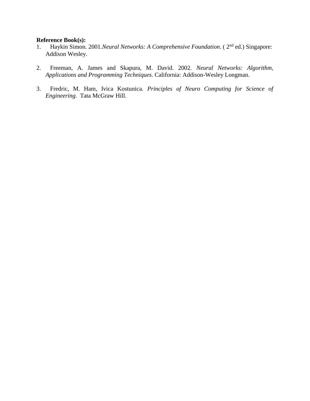#### **Reference Book(s):**

- 1. Haykin Simon. 2001.*Neural Networks: A Comprehensive Foundation*. ( 2nd ed.) Singapore: Addison Wesley.
- 2. Freeman, A. James and Skapura, M. David. 2002. *Neural Networks: Algorithm, Applications and Programming Techniques*. California: Addison-Wesley Longman.
- 3. Fredric, M. Ham, Ivica Kostunica. *Principles of Neuro Computing for Science of Engineering*. Tata McGraw Hill.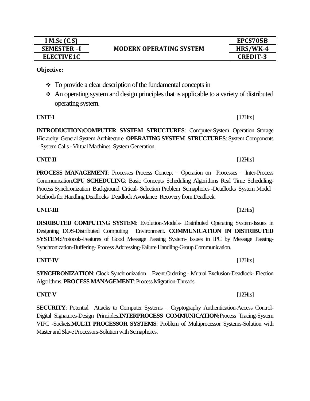| $\div$ To provide a clear description of the fundamental concepts in     |
|--------------------------------------------------------------------------|
| An operating system and design principles that is applicable to a variet |

 An operating system and design principles that is applicable to a variety of distributed operating system.

**INTRODUCTION:COMPUTER SYSTEM STRUCTURES**: Computer-System Operation–Storage Hierarchy–General System Architecture–**OPERATING SYSTEM STRUCTURES**: System Components – System Calls - Virtual Machines–System Generation.

**PROCESS MANAGEMENT**: Processes–Process Concept – Operation on Processes – Inter-Process Communication.**CPU SCHEDULING**: Basic Concepts–Scheduling Algorithms–Real Time Scheduling-Process Synchronization–Background–Crtical- Selection Problem–Semaphores -Deadlocks–System Model– Methods for Handling Deadlocks–Deadlock Avoidance–Recovery from Deadlock.

**DISRIBUTED COMPUTING SYSTEM**: Evolution-Models- Distributed Operating System-Issues in Designing DOS-Distributed Computing Environment. **COMMUNICATION IN DISTRIBUTED SYSTEM**:Protocols-Features of Good Message Passing System- Issues in IPC by Message Passing-Synchronization-Buffering- Process Addressing-Failure Handling-Group Communication.

**UNIT-III** [12Hrs]

**SYNCHRONIZATION**: Clock Synchronization – Event Ordering - Mutual Exclusion-Deadlock- Election Algorithms. **PROCESS MANAGEMENT**: Process Migration-Threads.

**SECURITY**: Potential Attacks to Computer Systems – Cryptography–Authentication-Access Control-Digital Signatures-Design Principles.**INTERPROCESS COMMUNICATION:**Process Tracing-System VIPC -Sockets.**MULTI PROCESSOR SYSTEMS**: Problem of Multiprocessor Systems-Solution with Master and Slave Processors-Solution with Semaphores.

# **UNIT-I** [12Hrs]

# **UNIT-II** [12Hrs]

# **UNIT-IV** [12Hrs]

# **MODERN OPERATING SYSTEM SEMESTER –I HRS/WK-4**

# **Objective:**

# **UNIT-V** [12Hrs]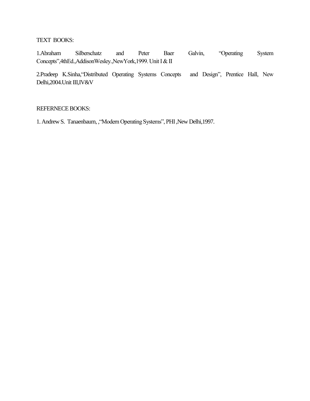### TEXT BOOKS:

1.Abraham Silberschatz and Peter Baer Galvin, "Operating System Concepts",4thEd.,AddisonWesley.,NewYork,1999. Unit I & II

2.Pradeep K.Sinha,"Distributed Operating Systems Concepts and Design", Prentice Hall, New Delhi,2004.Unit III,IV&V

#### REFERNECE BOOKS:

1. Andrew S. Tanaenbaum, , "Modern Operating Systems", PHI, New Delhi, 1997.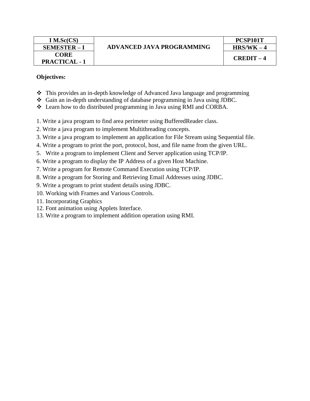| $I$ M.Sc(CS)         |
|----------------------|
| <b>SEMESTER-I</b>    |
| <b>CORE</b>          |
| <b>PRACTICAL - 1</b> |

# **ADVANCED JAVA PROGRAMMING SEMESTER – I HRS/WK – 4**

### **Objectives:**

- This provides an in-depth knowledge of Advanced Java language and programming
- Gain an in-depth understanding of database programming in Java using JDBC.
- Learn how to do distributed programming in Java using RMI and CORBA.
- 1. Write a java program to find area perimeter using BufferedReader class.
- 2. Write a java program to implement Multithreading concepts.
- 3. Write a java program to implement an application for File Stream using Sequential file.
- 4. Write a program to print the port, protocol, host, and file name from the given URL.
- 5. Write a program to implement Client and Server application using TCP/IP.
- 6. Write a program to display the IP Address of a given Host Machine.
- 7. Write a program for Remote Command Execution using TCP/IP.
- 8. Write a program for Storing and Retrieving Email Addresses using JDBC.
- 9. Write a program to print student details using JDBC.
- 10. Working with Frames and Various Controls.
- 11. Incorporating Graphics
- 12. Font animation using Applets Interface.
- 13. Write a program to implement addition operation using RMI.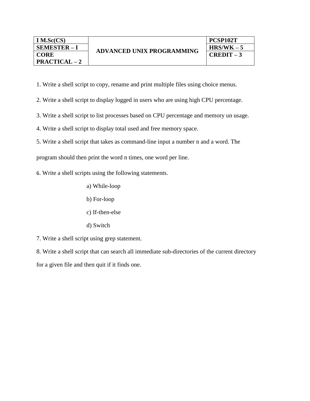- 1. Write a shell script to copy, rename and print multiple files using choice menus.
- 2. Write a shell script to display logged in users who are using high CPU percentage.
- 3. Write a shell script to list processes based on CPU percentage and memory un usage.
- 4. Write a shell script to display total used and free memory space.
- 5. Write a shell script that takes as command-line input a number n and a word. The

program should then print the word n times, one word per line.

- 6. Write a shell scripts using the following statements.
	- a) While-loop
	- b) For-loop
	- c) If-then-else
	- d) Switch
- 7. Write a shell script using grep statement.

8. Write a shell script that can search all immediate sub-directories of the current directory for a given file and then quit if it finds one.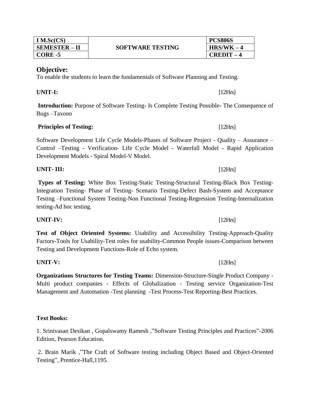| IM.Sc(CS)            | <b>SOFTWARE TESTING</b> | <b>PCS806S</b> |
|----------------------|-------------------------|----------------|
| <b>SEMESTER – II</b> |                         | $HRS/WK - 4$   |
| CORE -5              |                         | <b>CREDIT</b>  |

To enable the students to learn the fundamentals of Software Planning and Testing.

**UNIT- III:** [12Hrs]

**Introduction:** Purpose of Software Testing- Is Complete Testing Possible- The Consequence of Bugs –Taxono

#### **Principles of Testing:** [12Hrs]

Software Development Life Cycle Models-Phases of Software Project - Quality – Assurance – Control –Testing - Verification- Life Cycle Model - Waterfall Model - Rapid Application Development Models - Spiral Model-V Model.

**Types of Testing:** White Box Testing-Static Testing-Structural Testing-Black Box Testing-Integration Testing- Phase of Testing- Scenario Testing-Defect Bash-System and Acceptance Testing –Functional System Testing-Non Functional Testing-Regression Testing-Internalization testing-Ad hoc testing.

**Test of Object Oriented Systems:** Usability and Accessibility Testing-Approach-Quality Factors-Tools for Usability-Test roles for usability-Common People issues-Comparison between Testing and Development Functions-Role of Echo system.

**Organizations Structures for Testing Teams:** Dimension-Structure-Single Product Company - Multi product companies - Effects of Globalization - Testing service Organization-Test Management and Automation -Test planning -Test Process-Test Reporting-Best Practices.

#### **Text Books:**

1. Srinivasan Desikan , Gopalswamy Ramesh ,"Software Testing Principles and Practices"-2006 Edition, Pearson Education.

2. Brain Marik ,"The Craft of Software testing including Object Based and Object-Oriented Testing", Prentice-Hall,1195.

### **UNIT-V:** [12Hrs]

# **UNIT-IV:** [12Hrs]

# **UNIT-I:** [12Hrs]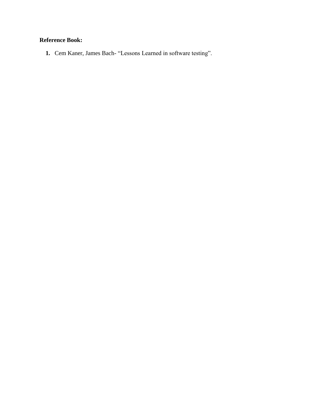# **Reference Book:**

**1.** Cem Kaner, James Bach- "Lessons Learned in software testing".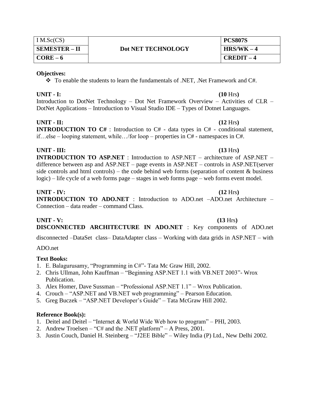| IM.Sc(CS)            |                    | <b>PCS807S</b> |
|----------------------|--------------------|----------------|
| <b>SEMESTER – II</b> | Dot NET TECHNOLOGY | $HRS/WK - 4$   |
| $CORE-6$             |                    | $CREDIT-4$     |

\* To enable the students to learn the fundamentals of .NET, .Net Framework and C#.

#### **UNIT - I: (10** Hrs**)**

Introduction to DotNet Technology – Dot Net Framework Overview – Activities of CLR – DotNet Applications – Introduction to Visual Studio IDE – Types of Dotnet Languages.

### **UNIT - II: (12** Hrs**)**

**INTRODUCTION TO C#** : Introduction to C# - data types in C# - conditional statement, if…else – looping statement, while…/for loop – properties in C# - namespaces in C#.

### **UNIT - III: (13** Hrs**)**

**INTRODUCTION TO ASP.NET** : Introduction to ASP.NET – architecture of ASP.NET – difference between asp and ASP.NET – page events in ASP.NET – controls in ASP.NET(server side controls and html controls) – the code behind web forms (separation of content  $\&$  business logic) – life cycle of a web forms page – stages in web forms page – web forms event model.

### **UNIT - IV: (12** Hrs**)**

**INTRODUCTION TO ADO.NET** : Introduction to ADO.net –ADO.net Architecture – Connection – data reader – command Class.

# **UNIT - V: (13** Hrs**)**

**DISCONNECTED ARCHITECTURE IN ADO.NET** : Key components of ADO.net

disconnected –DataSet class– DataAdapter class – Working with data grids in ASP.NET – with

### ADO.net

### **Text Books:**

- 1. E. Balagurusamy, "Programming in C#"- Tata Mc Graw Hill, 2002.
- 2. Chris Ullman, John Kauffman "Beginning ASP.NET 1.1 with VB.NET 2003"- Wrox Publication.
- 3. Alex Homer, Dave Sussman "Professional ASP.NET 1.1" Wrox Publication.
- 4. Crouch "ASP.NET and VB.NET web programming" Pearson Education.
- 5. Greg Buczek "ASP.NET Developer's Guide" Tata McGraw Hill 2002.

### **Reference Book(s):**

- 1. Deitel and Deitel "Internet & World Wide Web how to program" PHI, 2003.
- 2. Andrew Troelsen "C# and the .NET platform" A Press, 2001.
- 3. Justin Couch, Daniel H. Steinberg "J2EE Bible" Wiley India (P) Ltd., New Delhi 2002.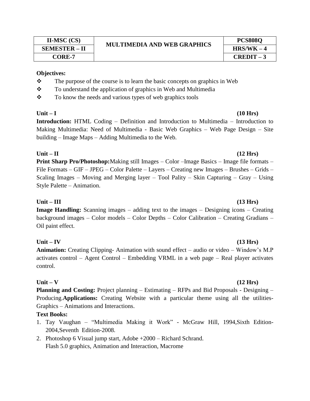| $II-MSC (CS)$        | <b>MULTIMEDIA AND WEB GRAPHICS</b> |
|----------------------|------------------------------------|
| <b>SEMESTER - II</b> |                                    |
| ~~~~ -               |                                    |

### **PCS808Q SEMESTER – II HRS/WK – 4 CORE-7 CREDIT – 3**

#### **Objectives:**

- $\mathbf{\hat{P}}$  The purpose of the course is to learn the basic concepts on graphics in Web
- \* To understand the application of graphics in Web and Multimedia
- $\mathbf{\hat{P}}$  To know the needs and various types of web graphics tools

**Introduction:** HTML Coding – Definition and Introduction to Multimedia – Introduction to Making Multimedia: Need of Multimedia - Basic Web Graphics – Web Page Design – Site building – Image Maps – Adding Multimedia to the Web.

### **Unit – II (12 Hrs)**

**Print Sharp Pro/Photoshop:**Making still Images – Color –Image Basics – Image file formats – File Formats – GIF – JPEG – Color Palette – Layers – Creating new Images – Brushes – Grids – Scaling Images – Moving and Merging layer – Tool Pality – Skin Capturing – Gray – Using Style Palette – Animation.

### **Unit – III (13 Hrs)**

**Image Handling:** Scanning images – adding text to the images – Designing icons – Creating background images – Color models – Color Depths – Color Calibration – Creating Gradians – Oil paint effect.

### **Unit – IV (13 Hrs)**

**Animation:** Creating Clipping- Animation with sound effect – audio or video – Window's M.P activates control – Agent Control – Embedding VRML in a web page – Real player activates control.

### **Unit – V (12 Hrs)**

**Planning and Costing:** Project planning – Estimating – RFPs and Bid Proposals - Designing – Producing.**Applications:** Creating Website with a particular theme using all the utilities-Graphics – Animations and Interactions.

### **Text Books:**

- 1. Tay Vaughan "Multimedia Making it Work" McGraw Hill, 1994,Sixth Edition-2004,Seventh Edition-2008.
- 2. Photoshop 6 Visual jump start, Adobe +2000 Richard Schrand. Flash 5.0 graphics, Animation and Interaction, Macrome

# **Unit – I (10 Hrs)**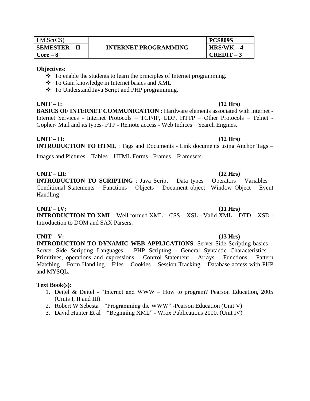| IM.Sc(CS)     | <b>INTERNET PROGRAMMING</b> | <b>PCS809S</b> |
|---------------|-----------------------------|----------------|
| SEMESTER – II |                             | $HRS/WK - 4$   |
| $Core-8$      |                             | $CREDIT-3$     |

- $\cdot$  To enable the students to learn the principles of Internet programming.
- \* To Gain knowledge in Internet basics and XML
- To Understand Java Script and PHP programming.

**UNIT – I: (12 Hrs) BASICS OF INTERNET COMMUNICATION** : Hardware elements associated with internet - Internet Services - Internet Protocols – TCP/IP, UDP, HTTP – Other Protocols – Telnet - Gopher- Mail and its types- FTP - Remote access - Web Indices – Search Engines.

#### **UNIT – II: (12 Hrs) INTRODUCTION TO HTML** : Tags and Documents - Link documents using Anchor Tags –

Images and Pictures – Tables – HTML Forms - Frames – Framesets.

#### **UNIT – III: (12 Hrs)**

**INTRODUCTION TO SCRIPTING** : Java Script – Data types – Operators – Variables – Conditional Statements – Functions – Objects – Document object– Window Object – Event Handling

#### **UNIT – IV: (11 Hrs)**

**INTRODUCTION TO XML** : Well formed XML – CSS – XSL - Valid XML – DTD – XSD - Introduction to DOM and SAX Parsers.

#### **UNIT – V: (13 Hrs)**

**INTRODUCTION TO DYNAMIC WEB APPLICATIONS**: Server Side Scripting basics – Server Side Scripting Languages – PHP Scripting - General Syntactic Characteristics – Primitives, operations and expressions – Control Statement – Arrays – Functions – Pattern Matching – Form Handling – Files – Cookies – Session Tracking – Database access with PHP and MYSQL.

#### **Text Book(s):**

- 1. Deitel & Deitel "Internet and WWW How to program? Pearson Education, 2005 (Units I, II and III)
- 2. Robert W Sebesta "Programming the WWW" -Pearson Education (Unit V)
- 3. David Hunter Et al "Beginning XML" Wrox Publications 2000. (Unit IV)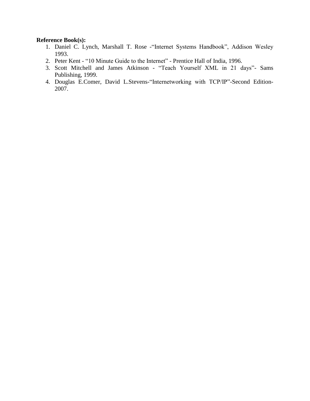#### **Reference Book(s):**

- 1. Daniel C. Lynch, Marshall T. Rose -"Internet Systems Handbook", Addison Wesley 1993.
- 2. Peter Kent "10 Minute Guide to the Internet" Prentice Hall of India, 1996.
- 3. Scott Mitchell and James Atkinson "Teach Yourself XML in 21 days"- Sams Publishing, 1999.
- 4. Douglas E.Comer, David L.Stevens-"Internetworking with TCP/IP"-Second Edition-2007.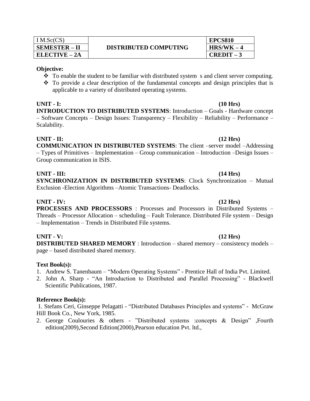| IM.Sc(CS)            |
|----------------------|
| <b>SEMESTER - II</b> |
| ELECTIVE – 2A        |

- $\cdot \cdot$  To enable the student to be familiar with distributed system s and client server computing.
- $\cdot \cdot$  To provide a clear description of the fundamental concepts and design principles that is applicable to a variety of distributed operating systems.

#### **UNIT - I: (10 Hrs) INTRODUCTION TO DISTRIBUTED SYSTEMS**: Introduction – Goals - Hardware concept – Software Concepts – Design Issues: Transparency – Flexibility – Reliability – Performance – Scalability.

#### **UNIT - II: (12 Hrs)**

**COMMUNICATION IN DISTRIBUTED SYSTEMS**: The client –server model –Addressing – Types of Primitives – Implementation – Group communication – Introduction –Design Issues – Group communication in ISIS.

#### **UNIT - III: (14 Hrs)**

**SYNCHRONIZATION IN DISTRIBUTED SYSTEMS**: Clock Synchronization – Mutual Exclusion -Election Algorithms –Atomic Transactions- Deadlocks.

#### **UNIT - IV: (12 Hrs)**

**PROCESSES AND PROCESSORS** : Processes and Processors in Distributed Systems – Threads – Processor Allocation – scheduling – Fault Tolerance. Distributed File system – Design – Implementation – Trends in Distributed File systems.

#### **UNIT - V: (12 Hrs)**

**DISTRIBUTED SHARED MEMORY** : Introduction – shared memory – consistency models – page – based distributed shared memory.

### **Text Book(s):**

- 1. Andrew S. Tanenbaum "Modern Operating Systems" Prentice Hall of India Pvt. Limited.
- 2. John A. Sharp "An Introduction to Distributed and Parallel Processing" Blackwell Scientific Publications, 1987.

### **Reference Book(s):**

1. Stefans Ceri, Ginseppe Pelagatti - "Distributed Databases Principles and systems" - McGraw Hill Book Co., New York, 1985.

2. George Coulouries & others - "Distributed systems :concepts & Design" ,Fourth edition(2009),Second Edition(2000),Pearson education Pvt. ltd.,

**EPCS810**

**ELECTIVE – 2A CREDIT – 3**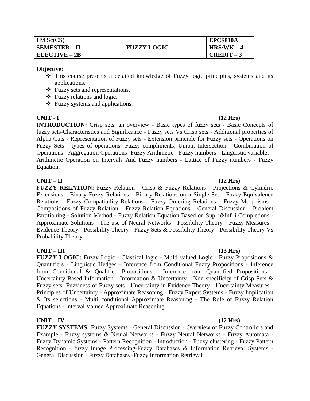| IM.Sc(CS)            | <b>FUZZY LOGIC</b> | EPCS810A     |
|----------------------|--------------------|--------------|
| <b>SEMESTER - II</b> |                    | $HRS/WK - 4$ |
| $ELECTIVE - 2B$      |                    | $CREDIT-3$   |

- $\hat{\cdot}$  This course presents a detailed knowledge of Fuzzy logic principles, systems and its applications.
- Fuzzy sets and representations.
- Fuzzy relations and logic.
- Fuzzy systems and applications.

#### **UNIT - I (12 Hrs)**

**INTRODUCTION:** Crisp sets: an overview - Basic types of fuzzy sets - Basic Concepts of fuzzy sets-Characteristics and Significance - Fuzzy sets Vs Crisp sets - Additional properties of Alpha Cuts - Representation of Fuzzy sets - Extension principle for Fuzzy sets - Operations on Fuzzy Sets - types of operations- Fuzzy compliments, Union, Intersection - Combination of Operations - Aggregation Operations- Fuzzy Arithmetic - Fuzzy numbers - Linguistic variables - Arithmetic Operation on Intervals And Fuzzy numbers - Lattice of Fuzzy numbers - Fuzzy Equation.

#### **UNIT – II (12 Hrs)**

**FUZZY RELATION:** Fuzzy Relation - Crisp & Fuzzy Relations - Projections & Cylindric Extensions - Binary Fuzzy Relations - Binary Relations on a Single Set - Fuzzy Equivalence Relations - Fuzzy Compatibility Relations - Fuzzy Ordering Relations - Fuzzy Morphisms - Compositions of Fuzzy Relation - Fuzzy Relation Equations - General Discussion - Problem Partitioning - Solution Method - Fuzzy Relation Equation Based on Sup\_i&Inf\_i Completions -Approximate Solutions - The use of Neural Networks - Possibility Theory - Fuzzy Measures - Evidence Theory - Possibility Theory - Fuzzy Sets & Possibility Theory - Possibility Theory Vs Probability Theory.

### **UNIT – III (13 Hrs)**

**FUZZY LOGIC:** Fuzzy Logic - Classical logic - Multi valued Logic - Fuzzy Propositions & Quantifiers - Linguistic Hedges - Inference from Conditional Fuzzy Propositions - Inference from Conditional & Qualified Propositions - Inference from Quantified Propositions - Uncertainty Based Information - Information & Uncertainty - Non specificity of Crisp Sets & Fuzzy sets- Fuzziness of Fuzzy sets - Uncertainty in Evidence Theory - Uncertainty Measures - Principles of Uncertainty - Approximate Reasoning - Fuzzy Expert Systems - Fuzzy Implication & Its selections - Multi conditional Approximate Reasoning - The Role of Fuzzy Relation Equations - Interval Valued Approximate Reasoning.

#### **UNIT – IV (12 Hrs)**

**FUZZY SYSTEMS:** Fuzzy Systems - General Discussion - Overview of Fuzzy Controllers and Example - Fuzzy systems & Neural Networks - Fuzzy Neural Networks - Fuzzy Automata - Fuzzy Dynamic Systems - Pattern Recognition - Introduction - Fuzzy clustering - Fuzzy Pattern Recognition - fuzzy Image Processing-Fuzzy Databases & Information Retrieval Systems - General Discussion - Fuzzy Databases -Fuzzy Information Retrieval.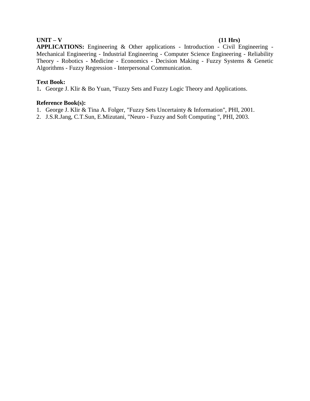#### **UNIT – V (11 Hrs)**

**APPLICATIONS:** Engineering & Other applications - Introduction - Civil Engineering - Mechanical Engineering - Industrial Engineering - Computer Science Engineering - Reliability Theory - Robotics - Medicine - Economics - Decision Making - Fuzzy Systems & Genetic Algorithms - Fuzzy Regression - Interpersonal Communication.

#### **Text Book:**

1**.** George J. Klir & Bo Yuan, "Fuzzy Sets and Fuzzy Logic Theory and Applications.

#### **Reference Book(s):**

- 1. George J. Klir & Tina A. Folger, "Fuzzy Sets Uncertainty & Information", PHI, 2001.
- 2. J.S.R.Jang, C.T.Sun, E.Mizutani, "Neuro Fuzzy and Soft Computing ", PHI, 2003.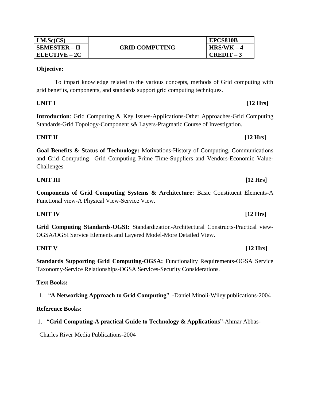| IM.Sc(CS)            | <b>GRID COMPUTING</b> | <b>EPCS810B</b> |
|----------------------|-----------------------|-----------------|
| <b>SEMESTER – II</b> |                       | $HRS/WK - 4$    |
| <b>ELECTIVE – 2C</b> |                       | $CREDIT-3$      |

To impart knowledge related to the various concepts, methods of Grid computing with grid benefits, components, and standards support grid computing techniques.

### **UNIT I [12 Hrs]**

**Introduction**: Grid Computing & Key Issues-Applications-Other Approaches-Grid Computing Standards-Grid Topology-Component s& Layers-Pragmatic Course of Investigation.

#### **UNIT II** [12 Hrs]

**Goal Benefits & Status of Technology:** Motivations-History of Computing, Communications and Grid Computing –Grid Computing Prime Time-Suppliers and Vendors-Economic Value-Challenges

#### **UNIT III** [12 Hrs]

**Components of Grid Computing Systems & Architecture:** Basic Constituent Elements-A Functional view-A Physical View-Service View.

#### **UNIT IV [12 Hrs]**

**Grid Computing Standards-OGSI:** Standardization-Architectural Constructs-Practical view-OGSA/OGSI Service Elements and Layered Model-More Detailed View.

**Standards Supporting Grid Computing-OGSA:** Functionality Requirements-OGSA Service Taxonomy-Service Relationships-OGSA Services-Security Considerations.

### **Text Books:**

1. "**A Networking Approach to Grid Computing**" -Daniel Minoli-Wiley publications-2004

### **Reference Books:**

1. "**Grid Computing-A practical Guide to Technology & Applications**"-Ahmar Abbas-

Charles River Media Publications-2004

# **UNIT V [12 Hrs]**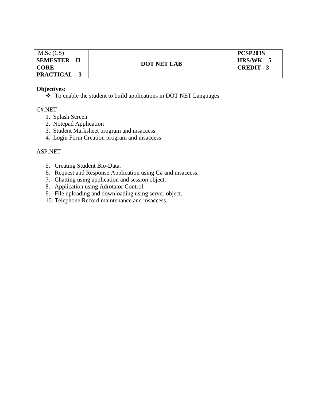| M.Sc(CS)             |                    | <b>PCSP203S</b>   |
|----------------------|--------------------|-------------------|
| <b>SEMESTER – II</b> | <b>DOT NET LAB</b> | $HRS/WK - 5$      |
| <b>CORE</b>          |                    | <b>CREDIT - 3</b> |
| $PRACTICAL - 3$      |                    |                   |

 $\cdot \cdot$  To enable the student to build applications in DOT NET Languages

C#.NET

- 1. Splash Screen
- 2. Notepad Application
- 3. Student Marksheet program and msaccess.
- 4. Login Form Creation program and msaccess

#### ASP.NET

- 5. Creating Student Bio-Data.
- 6. Request and Response Application using C# and msaccess.
- 7. Chatting using application and session object.
- 8. Application using Adrotator Control.
- 9. File uploading and downloading using server object.
- 10. Telephone Record maintenance and msaccess.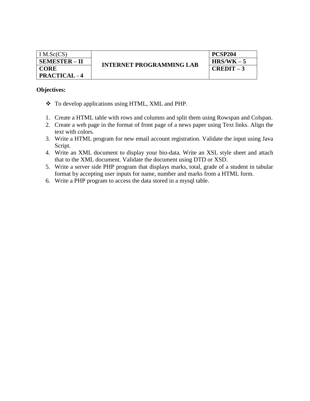| IM.Sc(CS)            | <b>INTERNET PROGRAMMING LAB</b> | PCSP204    |
|----------------------|---------------------------------|------------|
| <b>SEMESTER – II</b> |                                 | $HRS/WK-5$ |
| <b>CORE</b>          |                                 | $CREDIT-3$ |
| <b>PRACTICAL - 4</b> |                                 |            |

- \* To develop applications using HTML, XML and PHP.
- 1. Create a HTML table with rows and columns and split them using Rowspan and Colspan.
- 2. Create a web page in the format of front page of a news paper using Text links. Align the text with colors.
- 3. Write a HTML program for new email account registration. Validate the input using Java Script.
- 4. Write an XML document to display your bio-data. Write an XSL style sheet and attach that to the XML document. Validate the document using DTD or XSD.
- 5. Write a server side PHP program that displays marks, total, grade of a student in tabular format by accepting user inputs for name, number and marks from a HTML form.
- 6. Write a PHP program to access the data stored in a mysql table.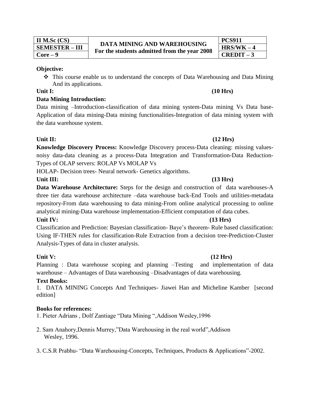| II M.Sc $(CS)$        |
|-----------------------|
| <b>SEMESTER – III</b> |
| $Core-9$              |

# **PCS911**

### **Objective:**

 This course enable us to understand the concepts of Data Warehousing and Data Mining And its applications.

### **Data Mining Introduction:**

Data mining –Introduction-classification of data mining system-Data mining Vs Data base-Application of data mining-Data mining functionalities-Integration of data mining system with the data warehouse system.

### Unit II: (12 Hrs)

**Knowledge Discovery Process:** Knowledge Discovery process-Data cleaning: missing valuesnoisy data-data cleaning as a process-Data Integration and Transformation-Data Reduction-Types of OLAP servers: ROLAP Vs MOLAP Vs

HOLAP- Decision trees- Neural network- Genetics algorithms.

### Unit III: (13 Hrs)

**Data Warehouse Architecture:** Steps for the design and construction of data warehouses-A three tier data warehouse architecture –data warehouse back-End Tools and utilities-metadata repository-From data warehousing to data mining-From online analytical processing to online analytical mining-Data warehouse implementation-Efficient computation of data cubes.

### **Unit IV: (13 Hrs)**

Classification and Prediction: Bayesian classification- Baye's theorem- Rule based classification: Using IF-THEN rules for classification-Rule Extraction from a decision tree-Prediction-Cluster Analysis-Types of data in cluster analysis.

### Unit V: (12 Hrs)

Planning : Data warehouse scoping and planning –Testing and implementation of data warehouse – Advantages of Data warehousing –Disadvantages of data warehousing.

### **Text Books:**

1.DATA MINING Concepts And Techniques- Jiawei Han and Micheline Kamber [second edition]

### **Books for references:**

- 1. Pieter Adrians , Dolf Zantiage "Data Mining ",Addison Wesley,1996
- 2. Sam Anahory,Dennis Murrey,"Data Warehousing in the real world",Addison Wesley, 1996.
- 3. C.S.R Prabhu- "Data Warehousing-Concepts, Techniques, Products & Applications"-2002.

### **Unit I: (10 Hrs)**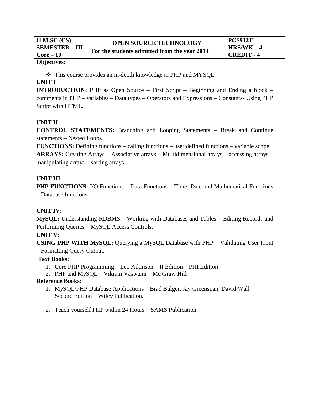| II M.SC $(CS)$        | <b>OPEN SOURCE TECHNOLOGY</b><br>For the students admitted from the year 2014 | <b>PCS912T</b> |
|-----------------------|-------------------------------------------------------------------------------|----------------|
| <b>SEMESTER – III</b> |                                                                               | $HRS/WK - 4$   |
| $Core-10$             |                                                                               | CREDIT - 4     |

 $\triangle$  This course provides an in-depth knowledge in PHP and MYSQL.

### **UNIT I**

**INTRODUCTION:** PHP as Open Source – First Script – Beginning and Ending a block – comments in PHP – variables – Data types – Operators and Expressions – Constants- Using PHP Script with HTML.

### **UNIT II**

**CONTROL STATEMENTS:** Branching and Looping Statements – Break and Continue statements – Nested Loops.

**FUNCTIONS:** Defining functions – calling functions – user defined functions – variable scope. **ARRAYS:** Creating Arrays – Associative arrays – Multidimensional arrays – accessing arrays – manipulating arrays – sorting arrays.

### **UNIT III**

**PHP FUNCTIONS:** I/O Functions – Data Functions – Time, Date and Mathematical Functions – Database functions.

### **UNIT IV:**

**MySQL:** Understanding RDBMS – Working with Databases and Tables – Editing Records and Performing Queries – MySQL Access Controls.

### **UNIT V:**

**USING PHP WITH MySQL:** Querying a MySQL Database with PHP – Validating User Input

– Formatting Query Output.

### **Text Books:**

- 1. Core PHP Programming Leo Atkinson II Edition PHI Edition
- 2. PHP and MySQL Vikram Vaswami Mc Graw Hill

### **Reference Books:**

- 1. MySQL/PHP Database Applications Brad Bulger, Jay Greenspan, David Wall Second Edition – Wiley Publication.
- 2. Teach yourself PHP within 24 Hours SAMS Publication.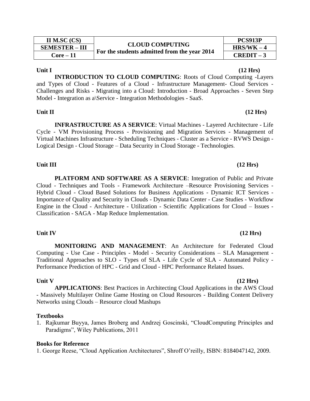| II M.SC $(CS)$        | <b>CLOUD COMPUTING</b>                       | PCS913P      |
|-----------------------|----------------------------------------------|--------------|
| <b>SEMESTER - III</b> |                                              | $HRS/WK - 4$ |
| Core – 11             | For the students admitted from the year 2014 | $CREDIT-3$   |

**INTRODUCTION TO CLOUD COMPUTING**: Roots of Cloud Computing -Layers and Types of Cloud - Features of a Cloud - Infrastructure Management- Cloud Services - Challenges and Risks - Migrating into a Cloud: Introduction - Broad Approaches - Seven Step Model - Integration as a\Service - Integration Methodologies - SaaS.

#### **Unit II (12 Hrs)**

**INFRASTRUCTURE AS A SERVICE**: Virtual Machines - Layered Architecture - Life Cycle - VM Provisioning Process - Provisioning and Migration Services - Management of Virtual Machines Infrastructure - Scheduling Techniques - Cluster as a Service - RVWS Design - Logical Design - Cloud Storage – Data Security in Cloud Storage - Technologies.

**PLATFORM AND SOFTWARE AS A SERVICE**: Integration of Public and Private Cloud - Techniques and Tools - Framework Architecture –Resource Provisioning Services - Hybrid Cloud - Cloud Based Solutions for Business Applications - Dynamic ICT Services - Importance of Quality and Security in Clouds - Dynamic Data Center - Case Studies - Workflow Engine in the Cloud - Architecture - Utilization - Scientific Applications for Cloud – Issues - Classification - SAGA - Map Reduce Implementation.

#### Unit IV (12 Hrs)

**MONITORING AND MANAGEMENT**: An Architecture for Federated Cloud Computing - Use Case - Principles - Model - Security Considerations – SLA Management - Traditional Approaches to SLO - Types of SLA - Life Cycle of SLA - Automated Policy - Performance Prediction of HPC - Grid and Cloud - HPC Performance Related Issues.

**Unit V (12 Hrs) APPLICATIONS**: Best Practices in Architecting Cloud Applications in the AWS Cloud - Massively Multilayer Online Game Hosting on Cloud Resources - Building Content Delivery Networks using Clouds – Resource cloud Mashups

#### **Textbooks**

1. Rajkumar Buyya, James Broberg and Andrzej Goscinski, "CloudComputing Principles and Paradigms", Wiley Publications, 2011

#### **Books for Reference**

1. George Reese, "Cloud Application Architectures", Shroff O'reilly, ISBN: 8184047142, 2009.

### Unit III (12 Hrs)

# Unit I (12 Hrs)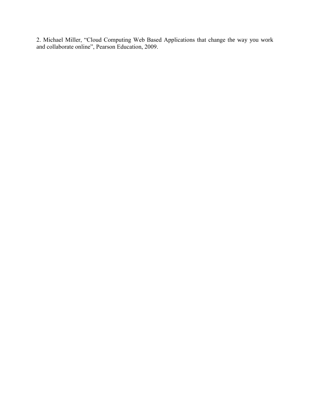2. Michael Miller, "Cloud Computing Web Based Applications that change the way you work and collaborate online", Pearson Education, 2009.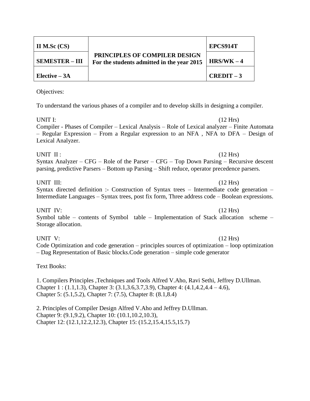| II M.Sc $(CS)$        |                                                                                    | EPCS914T   |
|-----------------------|------------------------------------------------------------------------------------|------------|
| <b>SEMESTER – III</b> | <b>PRINCIPLES OF COMPILER DESIGN</b><br>For the students admitted in the year 2015 | $HRS/WK-4$ |
| Elective $-3A$        |                                                                                    | $CREDIT-3$ |

To understand the various phases of a compiler and to develop skills in designing a compiler.

UNIT I:  $(12 \text{ Hrs})$ Compiler - Phases of Compiler – Lexical Analysis – Role of Lexical analyzer – Finite Automata – Regular Expression – From a Regular expression to an NFA , NFA to DFA – Design of Lexical Analyzer.

#### UNIT II :  $(12 \text{ Hrs})$ Syntax Analyzer – CFG – Role of the Parser – CFG – Top Down Parsing – Recursive descent parsing, predictive Parsers – Bottom up Parsing – Shift reduce, operator precedence parsers.

### UNIT III: (12 Hrs)

# Syntax directed definition :- Construction of Syntax trees – Intermediate code generation – Intermediate Languages – Syntax trees, post fix form, Three address code – Boolean expressions.

UNIT IV: (12 Hrs) Symbol table – contents of Symbol table – Implementation of Stack allocation scheme – Storage allocation.

#### UNIT V:  $(12 \text{ Hrs})$ Code Optimization and code generation – principles sources of optimization – loop optimization – Dag Representation of Basic blocks.Code generation – simple code generator

### Text Books:

1. Compilers Principles ,Techniques and Tools Alfred V.Aho, Ravi Sethi, Jeffrey D.Ullman. Chapter 1 : (1.1,1.3), Chapter 3: (3.1,3.6,3.7,3.9), Chapter 4: (4.1,4.2,4.4 – 4.6), Chapter 5: (5.1,5.2), Chapter 7: (7.5), Chapter 8: (8.1,8.4)

2. Principles of Compiler Design Alfred V.Aho and Jeffrey D.Ullman. Chapter 9: (9.1,9.2), Chapter 10: (10.1,10.2,10.3), Chapter 12: (12.1,12.2,12.3), Chapter 15: (15.2,15.4,15.5,15.7)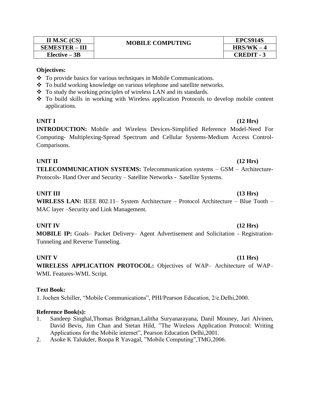| II M.SC $(CS)$        | <b>MOBILE COMPUTING</b> | EPCS914S          |
|-----------------------|-------------------------|-------------------|
| <b>SEMESTER - III</b> |                         | $HRS/WK - 4$      |
| $Elective - 3B$       |                         | <b>CREDIT - 3</b> |

- To provide basics for various techniques in Mobile Communications.
- To build working knowledge on various telephone and satellite networks.
- To study the working principles of wireless LAN and its standards.
- To build skills in working with Wireless application Protocols to develop mobile content applications.

#### **UNIT I (12 Hrs)**

# **INTRODUCTION:** Mobile and Wireless Devices-Simplified Reference Model-Need For Computing- Multiplexing-Spread Spectrum and Cellular Systems-Medium Access Control-Comparisons.

### **UNIT II (12 Hrs) TELECOMMUNICATION SYSTEMS:** Telecommunication systems – GSM – Architecture-Protocols- Hand Over and Security – Satellite Networks **-** Satellite Systems.

### **UNIT III (13 Hrs)**

**WIRLESS LAN:** IEEE 802.11– System Architecture – Protocol Architecture – Blue Tooth – MAC layer –Security and Link Management.

### **UNIT IV (12 Hrs)**

**MOBILE IP:** Goals– Packet Delivery– Agent Advertisement and Solicitation - Registration-Tunneling and Reverse Tunneling.

# **UNIT V (11 Hrs)**

**WIRELESS APPLICATION PROTOCOL:** Objectives of WAP– Architecture of WAP– WML Features-WML Script.

### **Text Book:**

1. Jochen Schiller, "Mobile Communications", PHI/Pearson Education, 2/e.Delhi,2000.

### **Reference Book(s):**

- 1. Sandeep Singhal,Thomas Bridgman,Lalitha Suryanarayana, Danil Mouney, Jari Alvinen, David Bevis, Jim Chan and Stetan Hild, "The Wireless Application Protocol: Writing Applications for the Mobile internet", Pearson Education Delhi,2001.
- 2. Asoke K Talukder, Roopa R Yavagal, "Mobile Computing",TMG,2006.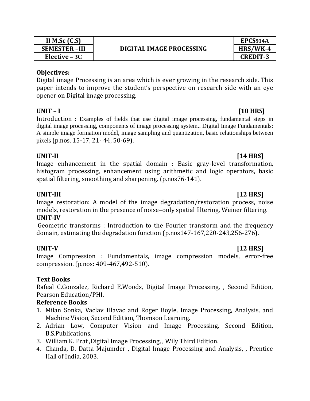| II M.Sc $(C.S)$     |  |
|---------------------|--|
| <b>SEMESTER-III</b> |  |
| Elective $-3C$      |  |

Digital image Processing is an area which is ever growing in the research side. This paper intends to improve the student's perspective on research side with an eye opener on Digital image processing.

### **UNIT – I [10 HRS]**

Introduction : Examples of fields that use digital image processing, fundamental steps in digital image processing, components of image processing [system.](http://www.indiastudychannel.com/resources/31512-JNTU-IV-Year-B-Tech-CSE-II-Semester-syllabus-for-IMAGE-PROCESSING.aspx). Digital Image Fundamentals: A simple image formation model, image sampling and quantization, basic relationships between pixels (p.nos. 15-17, 21- 44, 50-69).

### UNIT-II [14 HRS]

Image enhancement in the spatial domain : Basic gray-level transformation, histogram processing, enhancement using arithmetic and logic operators, basic spatial filtering, smoothing and sharpening. (p.nos76-141).

### **UNIT-III [12 HRS]**

Image restoration: A model of the image degradation/restoration process, noise models, restoration in the presence of noise–only spatial filtering, Weiner filtering. **UNIT-IV** 

Geometric transforms : Introduction to the Fourier transform and the frequency domain, estimating the degradation function (p.nos147-167,220-243,256-276).

# **UNIT-V [12 HRS]**

Image Compression : Fundamentals, image compression models, error-free compression. (p.nos: 409-467,492-510).

# **Text Books**

Rafeal C.Gonzalez, Richard E.Woods, Digital Image Processing, , Second Edition, Pearson Education/PHI.

# **Reference Books**

- 1. Milan Sonka, Vaclav Hlavac and Roger Boyle, Image Processing, Analysis, and Machine Vision, Second Edition, Thomson Learning.
- 2. Adrian Low, Computer Vision and Image Processing, Second Edition, B.S.Publications.
- 3. William K. Prat ,Digital Image Processing, , Wily Third Edition.
- 4. Chanda, D. Datta Majumder , Digital Image Processing and Analysis, , Prentice Hall of India, 2003.

**EPCS914A Elective – 3C CREDIT-3**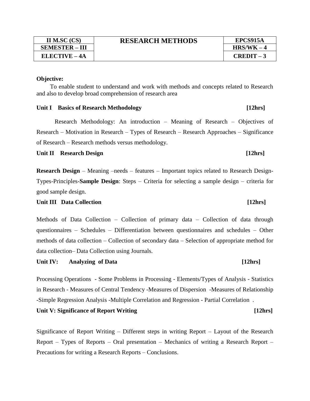**SEMESTER – III** 

### **Objective:**

 To enable student to understand and work with methods and concepts related to Research and also to develop broad comprehension of research area

#### Unit I Basics of Research Methodology [12hrs]

Research Methodology: An introduction – Meaning of Research – Objectives of Research – Motivation in Research – Types of Research – Research Approaches – Significance of Research – Research methods versus methodology.

Unit II Research Design [12hrs]

**Research Design** – Meaning –needs – features – Important topics related to Research Design-Types-Principles-**Sample Design**: Steps – Criteria for selecting a sample design – criteria for good sample design.

#### Unit III Data Collection [12hrs]

Methods of Data Collection – Collection of primary data – Collection of data through questionnaires – Schedules – Differentiation between questionnaires and schedules – Other methods of data collection – Collection of secondary data – Selection of appropriate method for data collection– Data Collection using Journals.

Unit IV: Analyzing of Data [12hrs]

Processing Operations - Some Problems in Processing - Elements/Types of Analysis - Statistics in Research - Measures of Central Tendency -Measures of Dispersion -Measures of Relationship -Simple Regression Analysis -Multiple Correlation and Regression - Partial Correlation .

#### Unit V: Significance of Report Writing [12hrs]

Significance of Report Writing – Different steps in writing Report – Layout of the Research Report – Types of Reports – Oral presentation – Mechanics of writing a Research Report – Precautions for writing a Research Reports – Conclusions.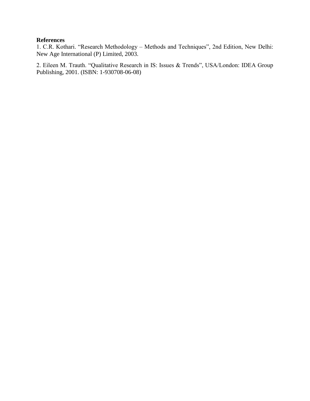### **References**

1. C.R. Kothari. "Research Methodology – Methods and Techniques", 2nd Edition, New Delhi: New Age International (P) Limited, 2003.

2. Eileen M. Trauth. "Qualitative Research in IS: Issues & Trends", USA/London: IDEA Group Publishing, 2001. (ISBN: 1-930708-06-08)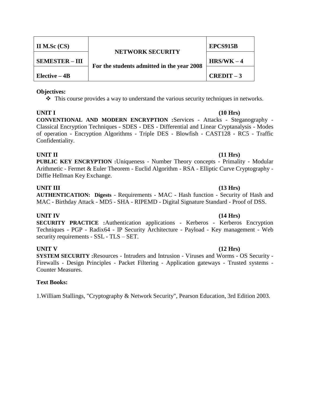| II M.Sc $(CS)$        | <b>NETWORK SECURITY</b><br>For the students admitted in the year 2008 | EPCS915B     |
|-----------------------|-----------------------------------------------------------------------|--------------|
| <b>SEMESTER – III</b> |                                                                       | $HRS/WK - 4$ |
| Elective $-4B$        |                                                                       | $CREDIT-3$   |

 $\hat{\mathbf{v}}$  This course provides a way to understand the various security techniques in networks.

**UNIT I (10 Hrs) CONVENTIONAL AND MODERN ENCRYPTION :**Services - Attacks - Steganography - Classical Encryption Techniques - SDES - DES - Differential and Linear Cryptanalysis - Modes of operation - Encryption Algorithms - Triple DES - Blowfish - CAST128 - RC5 - Traffic Confidentiality.

#### **UNIT II (11 Hrs)**

**PUBLIC KEY ENCRYPTION :**Uniqueness - Number Theory concepts - Primality - Modular Arithmetic - Fermet & Euler Theorem - Euclid Algorithm - RSA - Elliptic Curve Cryptography - Diffie Hellman Key Exchange.

#### **UNIT III (13 Hrs)**

**AUTHENTICATION: Digests** - Requirements - MAC - Hash function - Security of Hash and MAC - Birthday Attack - MD5 - SHA - RIPEMD - Digital Signature Standard - Proof of DSS.

### **UNIT IV (14 Hrs)**

**SECURITY PRACTICE :**Authentication applications - Kerberos - Kerberos Encryption Techniques - PGP - Radix64 - IP Security Architecture - Payload - Key management - Web security requirements - SSL - TLS – SET.

### **UNIT V (12 Hrs)**

**SYSTEM SECURITY :**Resources - Intruders and Intrusion - Viruses and Worms - OS Security - Firewalls - Design Principles - Packet Filtering - Application gateways - Trusted systems - Counter Measures.

### **Text Books:**

1.William Stallings, "Cryptography & Network Security", Pearson Education, 3rd Edition 2003.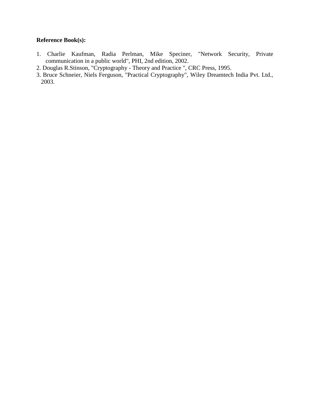### **Reference Book(s):**

- 1. Charlie Kaufman, Radia Perlman, Mike Speciner, "Network Security, Private communication in a public world", PHI, 2nd edition, 2002.
- 2. Douglas R.Stinson, "Cryptography Theory and Practice ", CRC Press, 1995.
- 3. Bruce Schneier, Niels Ferguson, "Practical Cryptography", Wiley Dreamtech India Pvt. Ltd., 2003.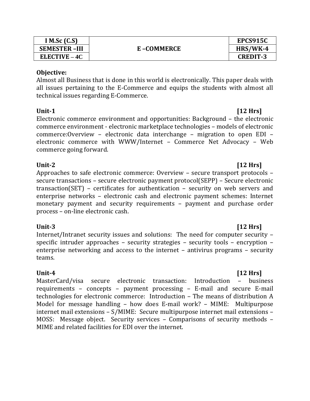| I M.Sc $(C.S)$      |            | EPCS915C        |
|---------------------|------------|-----------------|
| <b>SEMESTER-III</b> | E-COMMERCE | HRS/WK-4        |
| $ELECTIVE - 4C$     |            | <b>CREDIT-3</b> |

Almost all Business that is done in this world is electronically. This paper deals with all issues pertaining to the E-Commerce and equips the students with almost all technical issues regarding E-Commerce.

**Unit-1 [12 Hrs]** Electronic commerce environment and opportunities: Background – the electronic commerce environment - electronic marketplace technologies – models of electronic commerce:Overview – electronic data interchange – migration to open EDI – electronic commerce with WWW/Internet – Commerce Net Advocacy – Web commerce going forward.

## **Unit-2 [12 Hrs]**

Approaches to safe electronic commerce: Overview – secure transport protocols – secure transactions – secure electronic payment protocol(SEPP) – Secure electronic transaction(SET) – certificates for authentication – security on web servers and enterprise networks – electronic cash and electronic payment schemes: Internet monetary payment and security requirements – payment and purchase order process – on-line electronic cash.

### **Unit-3 [12 Hrs]**

Internet/Intranet security issues and solutions: The need for computer security – specific intruder approaches – security strategies – security tools – encryption – enterprise networking and access to the internet – antivirus programs – security teams.

**Unit-4** [12 Hrs] MasterCard/visa secure electronic transaction: Introduction – business requirements – concepts – payment processing – E-mail and secure E-mail technologies for electronic commerce: Introduction – The means of distribution A Model for message handling – how does E-mail work? – MIME: Multipurpose internet mail extensions – S/MIME: Secure multipurpose internet mail extensions – MOSS: Message object. Security services – Comparisons of security methods – MIME and related facilities for EDI over the internet.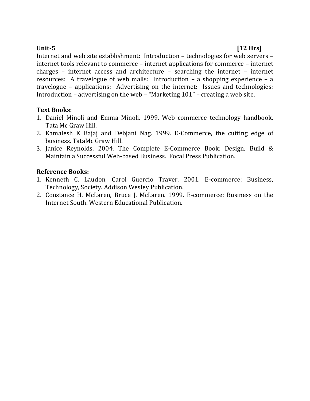# **Unit-5 [12 Hrs]**

Internet and web site establishment: Introduction – technologies for web servers – internet tools relevant to commerce – internet applications for commerce – internet charges – internet access and architecture – searching the internet – internet resources: A travelogue of web malls: Introduction – a shopping experience – a travelogue – applications: Advertising on the internet: Issues and technologies: Introduction – advertising on the web – "Marketing 101" – creating a web site.

### **Text Books:**

- 1. Daniel Minoli and Emma Minoli. 1999. Web commerce technology handbook. Tata Mc Graw Hill.
- 2. Kamalesh K Bajaj and Debjani Nag. 1999. E-Commerce, the cutting edge of business. TataMc Graw Hill.
- 3. Janice Reynolds. 2004. The Complete E-Commerce Book: Design, Build & Maintain a Successful Web-based Business. Focal Press Publication.

### **Reference Books:**

- 1. Kenneth C. Laudon, Carol Guercio Traver. 2001. E-commerce: Business, Technology, Society. Addison Wesley Publication.
- 2. Constance H. McLaren, Bruce J. McLaren. 1999. E-commerce: Business on the Internet South. Western Educational Publication.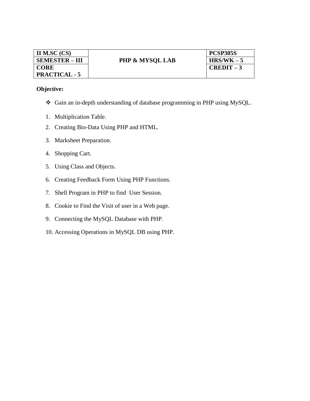| II M.SC (CS)          |                            | <b>PCSP305S</b> |
|-----------------------|----------------------------|-----------------|
| <b>SEMESTER – III</b> | <b>PHP &amp; MYSQL LAB</b> | $HRS/WK - 5$    |
| <b>CORE</b>           |                            | $CREDIT-3$      |
| <b>PRACTICAL - 5</b>  |                            |                 |

- Gain an in-depth understanding of database programming in PHP using MySQL.
- 1. Multiplication Table.
- 2. Creating Bio-Data Using PHP and HTML.
- 3. Marksheet Preparation.
- 4. Shopping Cart.
- 5. Using Class and Objects.
- 6. Creating Feedback Form Using PHP Functions.
- 7. Shell Program in PHP to find User Session.
- 8. Cookie to Find the Visit of user in a Web page.
- 9. Connecting the MySQL Database with PHP.
- 10. Accessing Operations in MySQL DB using PHP.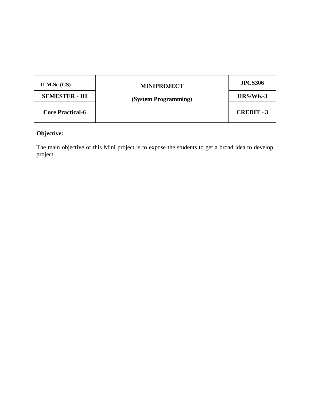| II M.Sc $(CS)$          | <b>MINIPROJECT</b>   | <b>JPCS306</b>    |
|-------------------------|----------------------|-------------------|
| <b>SEMESTER - III</b>   | (System Programming) | HRS/WK-3          |
| <b>Core Practical-6</b> |                      | <b>CREDIT - 3</b> |

The main objective of this Mini project is to expose the students to get a broad idea to develop project.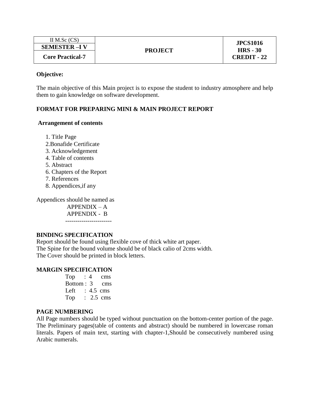| II M.Sc $(CS)$          | <b>PROJECT</b> | <b>JPCS1016</b>    |
|-------------------------|----------------|--------------------|
| <b>SEMESTER-IV</b>      |                | $HRS - 30$         |
| <b>Core Practical-7</b> |                | <b>CREDIT - 22</b> |

The main objective of this Main project is to expose the student to industry atmosphere and help them to gain knowledge on software development.

#### **FORMAT FOR PREPARING MINI & MAIN PROJECT REPORT**

#### **Arrangement of contents**

1. Title Page

- 2.Bonafide Certificate
- 3. Acknowledgement
- 4. Table of contents
- 5. Abstract
- 6. Chapters of the Report
- 7. References
- 8. Appendices,if any

Appendices should be named as

 APPENDIX – A APPENDIX - B -----------------------

### **BINDING SPECIFICATION**

Report should be found using flexible cove of thick white art paper. The Spine for the bound volume should be of black calio of 2cms width. The Cover should be printed in block letters.

#### **MARGIN SPECIFICATION**

Top :  $4$  cms Bottom : 3 cms Left :  $4.5$  cms Top : 2.5 cms

#### **PAGE NUMBERING**

All Page numbers should be typed without punctuation on the bottom-center portion of the page. The Preliminary pages(table of contents and abstract) should be numbered in lowercase roman literals. Papers of main text, starting with chapter-1,Should be consecutively numbered using Arabic numerals.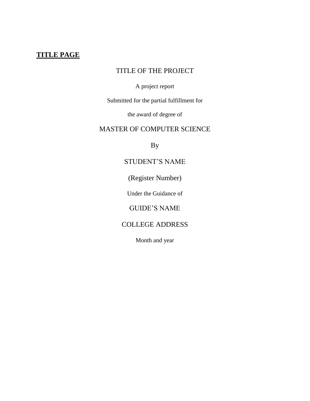# **TITLE PAGE**

# TITLE OF THE PROJECT

### A project report

Submitted for the partial fulfillment for

the award of degree of

# MASTER OF COMPUTER SCIENCE

By

# STUDENT'S NAME

(Register Number)

Under the Guidance of

# GUIDE'S NAME

# COLLEGE ADDRESS

Month and year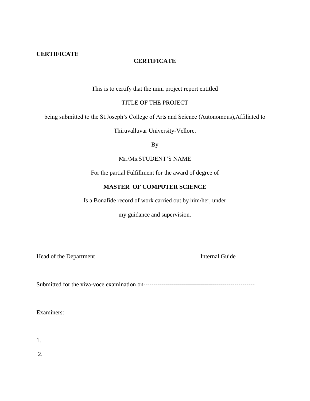### **CERTIFICATE**

### **CERTIFICATE**

This is to certify that the mini project report entitled

TITLE OF THE PROJECT

being submitted to the St.Joseph's College of Arts and Science (Autonomous),Affiliated to

Thiruvalluvar University-Vellore.

By

Mr./Ms.STUDENT'S NAME

For the partial Fulfillment for the award of degree of

#### **MASTER OF COMPUTER SCIENCE**

Is a Bonafide record of work carried out by him/her, under

my guidance and supervision.

Head of the Department Internal Guide

Submitted for the viva-voce examination on-------------------------------------------------------

Examiners:

1.

2.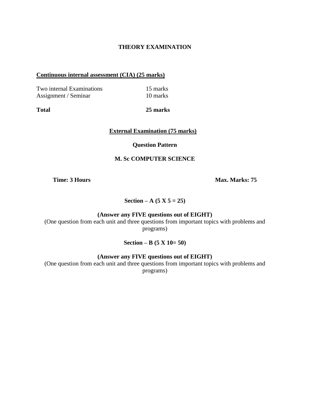#### **THEORY EXAMINATION**

#### **Continuous internal assessment (CIA) (25 marks)**

Two internal Examinations 15 marks Assignment / Seminar 10 marks

**Total 25 marks**

**External Examination (75 marks)**

#### **Question Pattern**

#### **M. Sc COMPUTER SCIENCE**

**Time: 3 Hours Max. Marks: 75 <b>Max. Marks: 75** 

**Section – A** (5 **X**  $5 = 25$ )

#### **(Answer any FIVE questions out of EIGHT)**

(One question from each unit and three questions from important topics with problems and programs)

**Section – B (5 X 10= 50)**

**(Answer any FIVE questions out of EIGHT)**

(One question from each unit and three questions from important topics with problems and programs)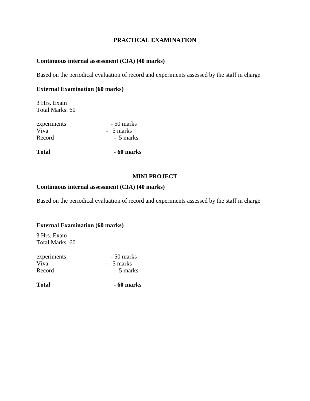### **PRACTICAL EXAMINATION**

#### **Continuous internal assessment (CIA) (40 marks)**

Based on the periodical evaluation of record and experiments assessed by the staff in charge

#### **External Examination (60 marks)**

3 Hrs. Exam Total Marks: 60

| <b>Total</b> | - 60 marks |
|--------------|------------|
| Record       | - 5 marks  |
| Viva         | - 5 marks  |
| experiments  | - 50 marks |

### **MINI PROJECT**

### **Continuous internal assessment (CIA) (40 marks)**

Based on the periodical evaluation of record and experiments assessed by the staff in charge

#### **External Examination (60 marks)**

3 Hrs. Exam Total Marks: 60

| <b>Total</b> | - 60 marks |
|--------------|------------|
| Record       | - 5 marks  |
| Viva         | - 5 marks  |
| experiments  | - 50 marks |